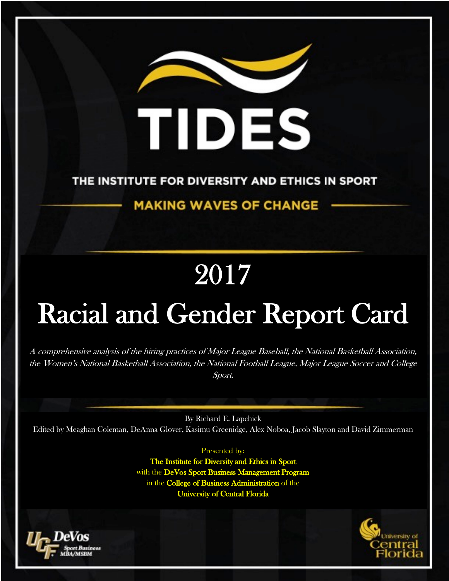

## THE INSTITUTE FOR DIVERSITY AND ETHICS IN SPORT

# **MAKING WAVES OF CHANGE**

# 2017

# Racial and Gender Report Card

A comprehensive analysis of the hiring practices of Major League Baseball, the National Basketball Association, the Women's National Basketball Association, the National Football League, Major League Soccer and College Sport.

By Richard E. Lapchick Edited by Meaghan Coleman, DeAnna Glover, Kasimu Greenidge, Alex Noboa, Jacob Slayton and David Zimmerman

Presented by:

The Institute for Diversity and Ethics in Sport with the DeVos Sport Business Management Program in the College of Business Administration of the University of Central Florida



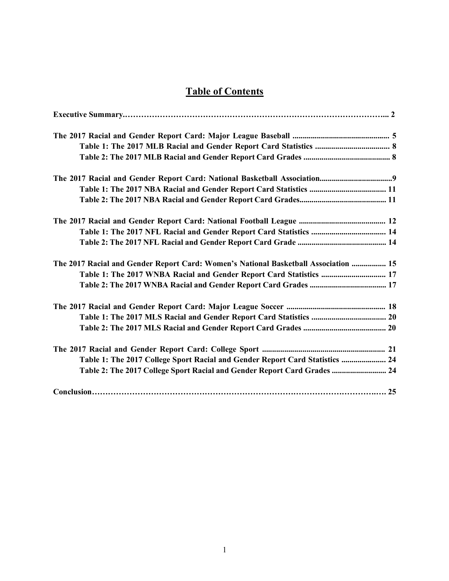## **Table of Contents**

| The 2017 Racial and Gender Report Card: Women's National Basketball Association  15 |  |
|-------------------------------------------------------------------------------------|--|
| Table 1: The 2017 WNBA Racial and Gender Report Card Statistics  17                 |  |
|                                                                                     |  |
|                                                                                     |  |
|                                                                                     |  |
|                                                                                     |  |
|                                                                                     |  |
| Table 1: The 2017 College Sport Racial and Gender Report Card Statistics  24        |  |
| Table 2: The 2017 College Sport Racial and Gender Report Card Grades  24            |  |
|                                                                                     |  |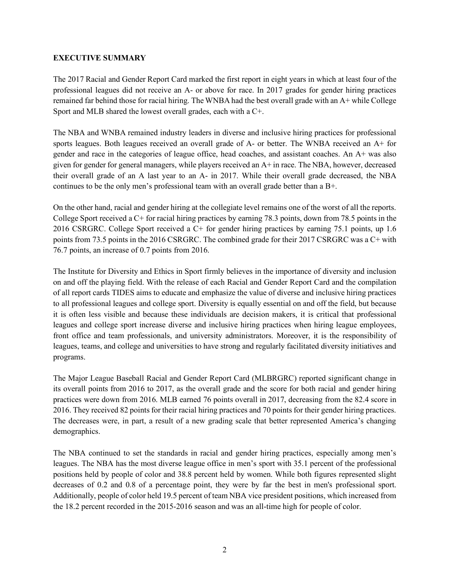#### **EXECUTIVE SUMMARY**

The 2017 Racial and Gender Report Card marked the first report in eight years in which at least four of the professional leagues did not receive an A- or above for race. In 2017 grades for gender hiring practices remained far behind those for racial hiring. The WNBA had the best overall grade with an A+ while College Sport and MLB shared the lowest overall grades, each with a C+.

The NBA and WNBA remained industry leaders in diverse and inclusive hiring practices for professional sports leagues. Both leagues received an overall grade of A- or better. The WNBA received an A+ for gender and race in the categories of league office, head coaches, and assistant coaches. An A+ was also given for gender for general managers, while players received an A+ in race. The NBA, however, decreased their overall grade of an A last year to an A- in 2017. While their overall grade decreased, the NBA continues to be the only men's professional team with an overall grade better than a B+.

On the other hand, racial and gender hiring at the collegiate level remains one of the worst of all the reports. College Sport received a C+ for racial hiring practices by earning 78.3 points, down from 78.5 points in the 2016 CSRGRC. College Sport received a C+ for gender hiring practices by earning 75.1 points, up 1.6 points from 73.5 points in the 2016 CSRGRC. The combined grade for their 2017 CSRGRC was a C+ with 76.7 points, an increase of 0.7 points from 2016.

The Institute for Diversity and Ethics in Sport firmly believes in the importance of diversity and inclusion on and off the playing field. With the release of each Racial and Gender Report Card and the compilation of all report cards TIDES aims to educate and emphasize the value of diverse and inclusive hiring practices to all professional leagues and college sport. Diversity is equally essential on and off the field, but because it is often less visible and because these individuals are decision makers, it is critical that professional leagues and college sport increase diverse and inclusive hiring practices when hiring league employees, front office and team professionals, and university administrators. Moreover, it is the responsibility of leagues, teams, and college and universities to have strong and regularly facilitated diversity initiatives and programs.

The Major League Baseball Racial and Gender Report Card (MLBRGRC) reported significant change in its overall points from 2016 to 2017, as the overall grade and the score for both racial and gender hiring practices were down from 2016. MLB earned 76 points overall in 2017, decreasing from the 82.4 score in 2016. They received 82 points for their racial hiring practices and 70 points for their gender hiring practices. The decreases were, in part, a result of a new grading scale that better represented America's changing demographics.

The NBA continued to set the standards in racial and gender hiring practices, especially among men's leagues. The NBA has the most diverse league office in men's sport with 35.1 percent of the professional positions held by people of color and 38.8 percent held by women. While both figures represented slight decreases of 0.2 and 0.8 of a percentage point, they were by far the best in men's professional sport. Additionally, people of color held 19.5 percent of team NBA vice president positions, which increased from the 18.2 percent recorded in the 2015-2016 season and was an all-time high for people of color.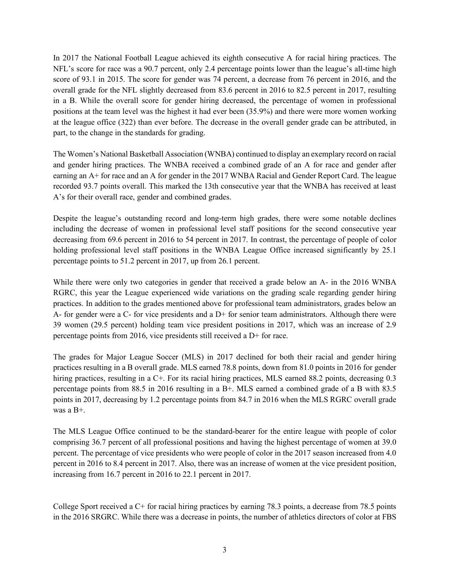In 2017 the National Football League achieved its eighth consecutive A for racial hiring practices. The NFL's score for race was a 90.7 percent, only 2.4 percentage points lower than the league's all-time high score of 93.1 in 2015. The score for gender was 74 percent, a decrease from 76 percent in 2016, and the overall grade for the NFL slightly decreased from 83.6 percent in 2016 to 82.5 percent in 2017, resulting in a B. While the overall score for gender hiring decreased, the percentage of women in professional positions at the team level was the highest it had ever been (35.9%) and there were more women working at the league office (322) than ever before. The decrease in the overall gender grade can be attributed, in part, to the change in the standards for grading.

The Women's National Basketball Association (WNBA) continued to display an exemplary record on racial and gender hiring practices. The WNBA received a combined grade of an A for race and gender after earning an A+ for race and an A for gender in the 2017 WNBA Racial and Gender Report Card. The league recorded 93.7 points overall. This marked the 13th consecutive year that the WNBA has received at least A's for their overall race, gender and combined grades.

Despite the league's outstanding record and long-term high grades, there were some notable declines including the decrease of women in professional level staff positions for the second consecutive year decreasing from 69.6 percent in 2016 to 54 percent in 2017. In contrast, the percentage of people of color holding professional level staff positions in the WNBA League Office increased significantly by 25.1 percentage points to 51.2 percent in 2017, up from 26.1 percent.

While there were only two categories in gender that received a grade below an A- in the 2016 WNBA RGRC, this year the League experienced wide variations on the grading scale regarding gender hiring practices. In addition to the grades mentioned above for professional team administrators, grades below an A- for gender were a C- for vice presidents and a D+ for senior team administrators. Although there were 39 women (29.5 percent) holding team vice president positions in 2017, which was an increase of 2.9 percentage points from 2016, vice presidents still received a D+ for race.

The grades for Major League Soccer (MLS) in 2017 declined for both their racial and gender hiring practices resulting in a B overall grade. MLS earned 78.8 points, down from 81.0 points in 2016 for gender hiring practices, resulting in a C+. For its racial hiring practices, MLS earned 88.2 points, decreasing 0.3 percentage points from 88.5 in 2016 resulting in a B+. MLS earned a combined grade of a B with 83.5 points in 2017, decreasing by 1.2 percentage points from 84.7 in 2016 when the MLS RGRC overall grade was a B+.

The MLS League Office continued to be the standard-bearer for the entire league with people of color comprising 36.7 percent of all professional positions and having the highest percentage of women at 39.0 percent. The percentage of vice presidents who were people of color in the 2017 season increased from 4.0 percent in 2016 to 8.4 percent in 2017. Also, there was an increase of women at the vice president position, increasing from 16.7 percent in 2016 to 22.1 percent in 2017.

College Sport received a C+ for racial hiring practices by earning 78.3 points, a decrease from 78.5 points in the 2016 SRGRC. While there was a decrease in points, the number of athletics directors of color at FBS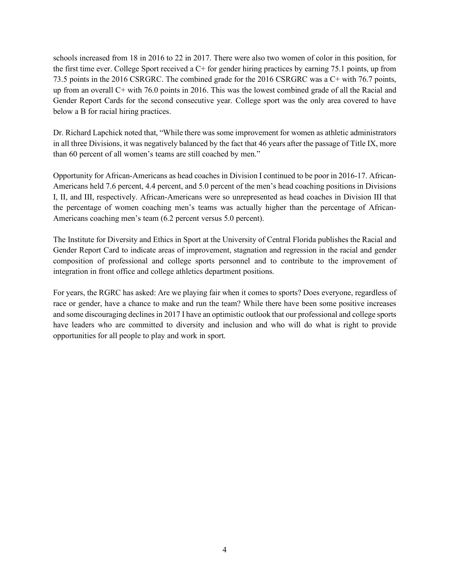schools increased from 18 in 2016 to 22 in 2017. There were also two women of color in this position, for the first time ever. College Sport received a C+ for gender hiring practices by earning 75.1 points, up from 73.5 points in the 2016 CSRGRC. The combined grade for the 2016 CSRGRC was a C+ with 76.7 points, up from an overall C+ with 76.0 points in 2016. This was the lowest combined grade of all the Racial and Gender Report Cards for the second consecutive year. College sport was the only area covered to have below a B for racial hiring practices.

Dr. Richard Lapchick noted that, "While there was some improvement for women as athletic administrators in all three Divisions, it was negatively balanced by the fact that 46 years after the passage of Title IX, more than 60 percent of all women's teams are still coached by men."

Opportunity for African-Americans as head coaches in Division I continued to be poor in 2016-17. African-Americans held 7.6 percent, 4.4 percent, and 5.0 percent of the men's head coaching positions in Divisions I, II, and III, respectively. African-Americans were so unrepresented as head coaches in Division III that the percentage of women coaching men's teams was actually higher than the percentage of African-Americans coaching men's team (6.2 percent versus 5.0 percent).

The Institute for Diversity and Ethics in Sport at the University of Central Florida publishes the Racial and Gender Report Card to indicate areas of improvement, stagnation and regression in the racial and gender composition of professional and college sports personnel and to contribute to the improvement of integration in front office and college athletics department positions.

For years, the RGRC has asked: Are we playing fair when it comes to sports? Does everyone, regardless of race or gender, have a chance to make and run the team? While there have been some positive increases and some discouraging declines in 2017 I have an optimistic outlook that our professional and college sports have leaders who are committed to diversity and inclusion and who will do what is right to provide opportunities for all people to play and work in sport.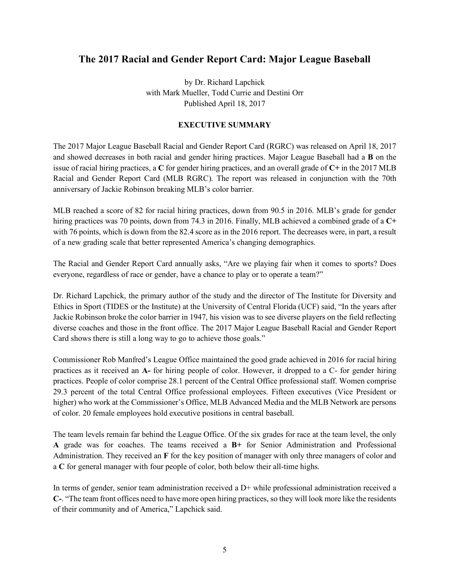## **The 2017 Racial and Gender Report Card: Major League Baseball**

by Dr. Richard Lapchick with Mark Mueller, Todd Currie and Destini Orr Published April 18, 2017

#### **EXECUTIVE SUMMARY**

The 2017 Major League Baseball Racial and Gender Report Card (RGRC) was released on April 18, 2017 and showed decreases in both racial and gender hiring practices. Major League Baseball had a **B** on the issue of racial hiring practices, a **C** for gender hiring practices, and an overall grade of **C+** in the 2017 MLB Racial and Gender Report Card (MLB RGRC). The report was released in conjunction with the 70th anniversary of Jackie Robinson breaking MLB's color barrier.

MLB reached a score of 82 for racial hiring practices, down from 90.5 in 2016. MLB's grade for gender hiring practices was 70 points, down from 74.3 in 2016. Finally, MLB achieved a combined grade of a **C+** with 76 points, which is down from the 82.4 score as in the 2016 report. The decreases were, in part, a result of a new grading scale that better represented America's changing demographics.

The Racial and Gender Report Card annually asks, "Are we playing fair when it comes to sports? Does everyone, regardless of race or gender, have a chance to play or to operate a team?"

Dr. Richard Lapchick, the primary author of the study and the director of The Institute for Diversity and Ethics in Sport (TIDES or the Institute) at the University of Central Florida (UCF) said, "In the years after Jackie Robinson broke the color barrier in 1947, his vision was to see diverse players on the field reflecting diverse coaches and those in the front office. The 2017 Major League Baseball Racial and Gender Report Card shows there is still a long way to go to achieve those goals."

Commissioner Rob Manfred's League Office maintained the good grade achieved in 2016 for racial hiring practices as it received an **A-** for hiring people of color. However, it dropped to a C- for gender hiring practices. People of color comprise 28.1 percent of the Central Office professional staff. Women comprise 29.3 percent of the total Central Office professional employees. Fifteen executives (Vice President or higher) who work at the Commissioner's Office, MLB Advanced Media and the MLB Network are persons of color. 20 female employees hold executive positions in central baseball.

The team levels remain far behind the League Office. Of the six grades for race at the team level, the only **A** grade was for coaches. The teams received a **B+** for Senior Administration and Professional Administration. They received an **F** for the key position of manager with only three managers of color and a **C** for general manager with four people of color, both below their all-time highs.

In terms of gender, senior team administration received a D+ while professional administration received a **C-**. "The team front offices need to have more open hiring practices, so they will look more like the residents of their community and of America," Lapchick said.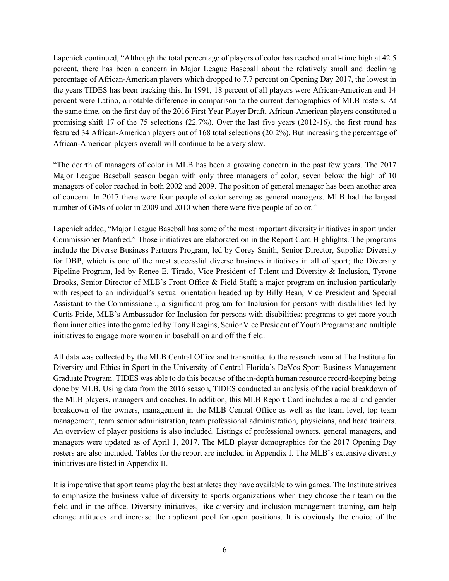Lapchick continued, "Although the total percentage of players of color has reached an all-time high at 42.5 percent, there has been a concern in Major League Baseball about the relatively small and declining percentage of African-American players which dropped to 7.7 percent on Opening Day 2017, the lowest in the years TIDES has been tracking this. In 1991, 18 percent of all players were African-American and 14 percent were Latino, a notable difference in comparison to the current demographics of MLB rosters. At the same time, on the first day of the 2016 First Year Player Draft, African-American players constituted a promising shift 17 of the 75 selections (22.7%). Over the last five years (2012-16), the first round has featured 34 African-American players out of 168 total selections (20.2%). But increasing the percentage of African-American players overall will continue to be a very slow.

"The dearth of managers of color in MLB has been a growing concern in the past few years. The 2017 Major League Baseball season began with only three managers of color, seven below the high of 10 managers of color reached in both 2002 and 2009. The position of general manager has been another area of concern. In 2017 there were four people of color serving as general managers. MLB had the largest number of GMs of color in 2009 and 2010 when there were five people of color."

Lapchick added, "Major League Baseball has some of the most important diversity initiatives in sport under Commissioner Manfred." Those initiatives are elaborated on in the Report Card Highlights. The programs include the Diverse Business Partners Program, led by Corey Smith, Senior Director, Supplier Diversity for DBP, which is one of the most successful diverse business initiatives in all of sport; the Diversity Pipeline Program, led by Renee E. Tirado, Vice President of Talent and Diversity & Inclusion, Tyrone Brooks, Senior Director of MLB's Front Office & Field Staff; a major program on inclusion particularly with respect to an individual's sexual orientation headed up by Billy Bean, Vice President and Special Assistant to the Commissioner.; a significant program for Inclusion for persons with disabilities led by Curtis Pride, MLB's Ambassador for Inclusion for persons with disabilities; programs to get more youth from inner cities into the game led by Tony Reagins, Senior Vice President of Youth Programs; and multiple initiatives to engage more women in baseball on and off the field.

All data was collected by the MLB Central Office and transmitted to the research team at The Institute for Diversity and Ethics in Sport in the University of Central Florida's DeVos Sport Business Management Graduate Program. TIDES was able to do this because of the in-depth human resource record-keeping being done by MLB. Using data from the 2016 season, TIDES conducted an analysis of the racial breakdown of the MLB players, managers and coaches. In addition, this MLB Report Card includes a racial and gender breakdown of the owners, management in the MLB Central Office as well as the team level, top team management, team senior administration, team professional administration, physicians, and head trainers. An overview of player positions is also included. Listings of professional owners, general managers, and managers were updated as of April 1, 2017. The MLB player demographics for the 2017 Opening Day rosters are also included. Tables for the report are included in Appendix I. The MLB's extensive diversity initiatives are listed in Appendix II.

It is imperative that sport teams play the best athletes they have available to win games. The Institute strives to emphasize the business value of diversity to sports organizations when they choose their team on the field and in the office. Diversity initiatives, like diversity and inclusion management training, can help change attitudes and increase the applicant pool for open positions. It is obviously the choice of the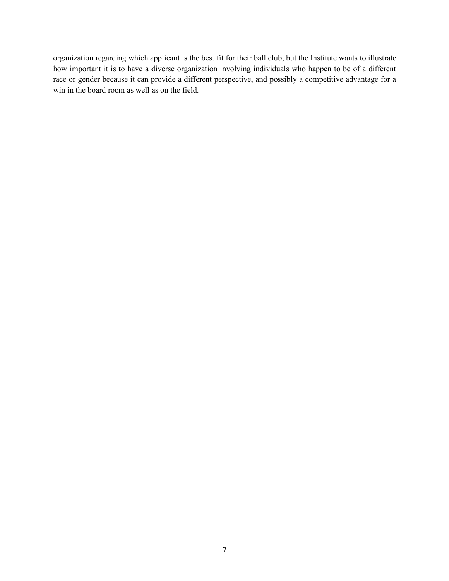organization regarding which applicant is the best fit for their ball club, but the Institute wants to illustrate how important it is to have a diverse organization involving individuals who happen to be of a different race or gender because it can provide a different perspective, and possibly a competitive advantage for a win in the board room as well as on the field.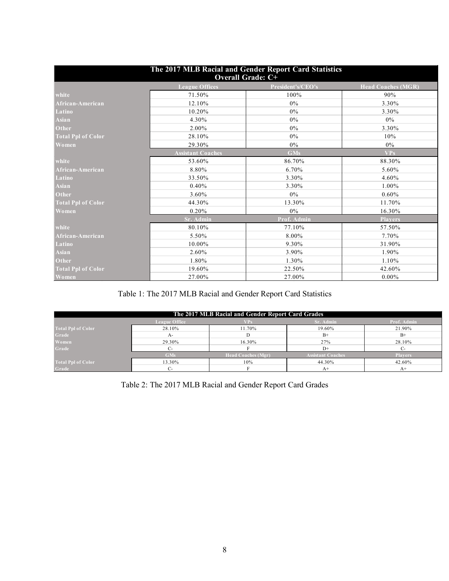| The 2017 MLB Racial and Gender Report Card Statistics<br><b>Overall Grade: C+</b> |                          |                   |                           |  |  |
|-----------------------------------------------------------------------------------|--------------------------|-------------------|---------------------------|--|--|
|                                                                                   | <b>League Offices</b>    | President's/CEO's | <b>Head Coaches (MGR)</b> |  |  |
| white                                                                             | 71.50%                   | 100%              | 90%                       |  |  |
| African-American                                                                  | 12.10%                   | $0\%$             | 3.30%                     |  |  |
| Latino                                                                            | 10.20%                   | $0\%$             | 3.30%                     |  |  |
| Asian                                                                             | 4.30%                    | $0\%$             | $0\%$                     |  |  |
| <b>Other</b>                                                                      | 2.00%                    | $0\%$             | 3.30%                     |  |  |
| <b>Total Ppl of Color</b>                                                         | 28.10%                   | $0\%$             | 10%                       |  |  |
| Women                                                                             | 29.30%                   | $0\%$             | $0\%$                     |  |  |
|                                                                                   | <b>Assistant Coaches</b> | <b>GMs</b>        | <b>VPs</b>                |  |  |
| white                                                                             | 53.60%                   | 86.70%            | 88.30%                    |  |  |
| African-American                                                                  | 8.80%                    | 6.70%             | 5.60%                     |  |  |
| Latino                                                                            | 33.50%                   | 3.30%             | 4.60%                     |  |  |
| <b>Asian</b>                                                                      | 0.40%                    | 3.30%             | 1.00%                     |  |  |
| <b>Other</b>                                                                      | 3.60%                    | $0\%$             | $0.60\%$                  |  |  |
| <b>Total Ppl of Color</b>                                                         | 44.30%                   | 13.30%            | 11.70%                    |  |  |
| Women                                                                             | 0.20%                    | $0\%$             | 16.30%                    |  |  |
|                                                                                   | Sr. Admin                | Prof. Admin       | <b>Players</b>            |  |  |
| white                                                                             | 80.10%                   | 77.10%            | 57.50%                    |  |  |
| African-American                                                                  | 5.50%                    | 8.00%             | 7.70%                     |  |  |
| Latino                                                                            | 10.00%                   | 9.30%             | 31.90%                    |  |  |
| <b>Asian</b>                                                                      | 2.60%                    | 3.90%             | 1.90%                     |  |  |
| Other                                                                             | 1.80%                    | 1.30%             | 1.10%                     |  |  |
| <b>Total Ppl of Color</b>                                                         | 19.60%                   | 22.50%            | 42.60%                    |  |  |
| Women                                                                             | 27.00%                   | 27.00%            | $0.00\%$                  |  |  |

## Table 1: The 2017 MLB Racial and Gender Report Card Statistics

| The 2017 MLB Racial and Gender Report Card Grades |               |                           |                          |                |  |  |
|---------------------------------------------------|---------------|---------------------------|--------------------------|----------------|--|--|
|                                                   | League Office | VP <sub>5</sub>           | Sr. Admin                | Prof. Admin    |  |  |
| <b>Total Ppl of Color</b>                         | 28.10%        | 11.70%                    | 19.60%                   | 21.90%         |  |  |
| Grade                                             | A-            |                           | $B+$                     | $B+$           |  |  |
| Women                                             | 29.30%        | 16.30%                    | 27%                      | 28.10%         |  |  |
| Grade                                             | С-            |                           | $D+$                     | ∼.             |  |  |
|                                                   | <b>GMs</b>    | <b>Head Coaches (Mgr)</b> | <b>Assistant Coaches</b> | <b>Players</b> |  |  |
| <b>Total Ppl of Color</b>                         | 13.30%        | 10%                       | 44.30%                   | 42.60%         |  |  |
| Grade                                             | С-            |                           | $A+$                     | A+             |  |  |

Table 2: The 2017 MLB Racial and Gender Report Card Grades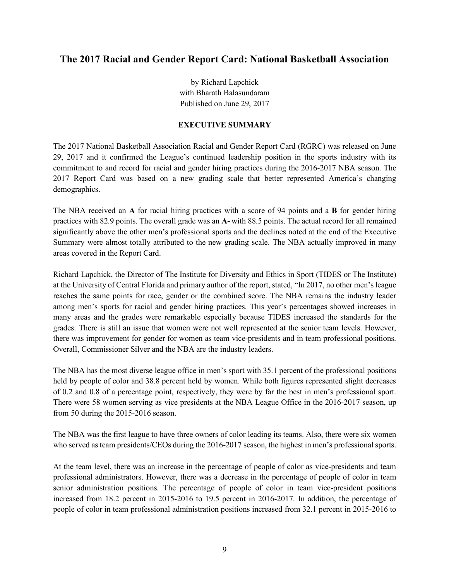## **The 2017 Racial and Gender Report Card: National Basketball Association**

by Richard Lapchick with Bharath Balasundaram Published on June 29, 2017

#### **EXECUTIVE SUMMARY**

The 2017 National Basketball Association Racial and Gender Report Card (RGRC) was released on June 29, 2017 and it confirmed the League's continued leadership position in the sports industry with its commitment to and record for racial and gender hiring practices during the 2016-2017 NBA season. The 2017 Report Card was based on a new grading scale that better represented America's changing demographics.

The NBA received an **A** for racial hiring practices with a score of 94 points and a **B** for gender hiring practices with 82.9 points. The overall grade was an **A-** with 88.5 points. The actual record for all remained significantly above the other men's professional sports and the declines noted at the end of the Executive Summary were almost totally attributed to the new grading scale. The NBA actually improved in many areas covered in the Report Card.

Richard Lapchick, the Director of The Institute for Diversity and Ethics in Sport (TIDES or The Institute) at the University of Central Florida and primary author of the report, stated, "In 2017, no other men's league reaches the same points for race, gender or the combined score. The NBA remains the industry leader among men's sports for racial and gender hiring practices. This year's percentages showed increases in many areas and the grades were remarkable especially because TIDES increased the standards for the grades. There is still an issue that women were not well represented at the senior team levels. However, there was improvement for gender for women as team vice-presidents and in team professional positions. Overall, Commissioner Silver and the NBA are the industry leaders.

The NBA has the most diverse league office in men's sport with 35.1 percent of the professional positions held by people of color and 38.8 percent held by women. While both figures represented slight decreases of 0.2 and 0.8 of a percentage point, respectively, they were by far the best in men's professional sport. There were 58 women serving as vice presidents at the NBA League Office in the 2016-2017 season, up from 50 during the 2015-2016 season.

The NBA was the first league to have three owners of color leading its teams. Also, there were six women who served as team presidents/CEOs during the 2016-2017 season, the highest in men's professional sports.

At the team level, there was an increase in the percentage of people of color as vice-presidents and team professional administrators. However, there was a decrease in the percentage of people of color in team senior administration positions. The percentage of people of color in team vice-president positions increased from 18.2 percent in 2015-2016 to 19.5 percent in 2016-2017. In addition, the percentage of people of color in team professional administration positions increased from 32.1 percent in 2015-2016 to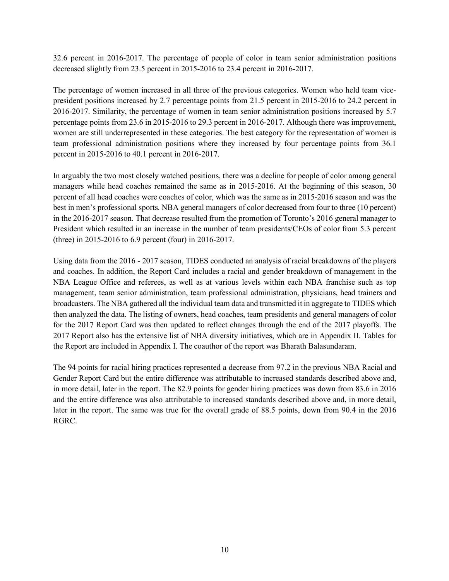32.6 percent in 2016-2017. The percentage of people of color in team senior administration positions decreased slightly from 23.5 percent in 2015-2016 to 23.4 percent in 2016-2017.

The percentage of women increased in all three of the previous categories. Women who held team vicepresident positions increased by 2.7 percentage points from 21.5 percent in 2015-2016 to 24.2 percent in 2016-2017. Similarity, the percentage of women in team senior administration positions increased by 5.7 percentage points from 23.6 in 2015-2016 to 29.3 percent in 2016-2017. Although there was improvement, women are still underrepresented in these categories. The best category for the representation of women is team professional administration positions where they increased by four percentage points from 36.1 percent in 2015-2016 to 40.1 percent in 2016-2017.

In arguably the two most closely watched positions, there was a decline for people of color among general managers while head coaches remained the same as in 2015-2016. At the beginning of this season, 30 percent of all head coaches were coaches of color, which was the same as in 2015-2016 season and was the best in men's professional sports. NBA general managers of color decreased from four to three (10 percent) in the 2016-2017 season. That decrease resulted from the promotion of Toronto's 2016 general manager to President which resulted in an increase in the number of team presidents/CEOs of color from 5.3 percent (three) in 2015-2016 to 6.9 percent (four) in 2016-2017.

Using data from the 2016 - 2017 season, TIDES conducted an analysis of racial breakdowns of the players and coaches. In addition, the Report Card includes a racial and gender breakdown of management in the NBA League Office and referees, as well as at various levels within each NBA franchise such as top management, team senior administration, team professional administration, physicians, head trainers and broadcasters. The NBA gathered all the individual team data and transmitted it in aggregate to TIDES which then analyzed the data. The listing of owners, head coaches, team presidents and general managers of color for the 2017 Report Card was then updated to reflect changes through the end of the 2017 playoffs. The 2017 Report also has the extensive list of NBA diversity initiatives, which are in Appendix II. Tables for the Report are included in Appendix I. The coauthor of the report was Bharath Balasundaram.

The 94 points for racial hiring practices represented a decrease from 97.2 in the previous NBA Racial and Gender Report Card but the entire difference was attributable to increased standards described above and, in more detail, later in the report. The 82.9 points for gender hiring practices was down from 83.6 in 2016 and the entire difference was also attributable to increased standards described above and, in more detail, later in the report. The same was true for the overall grade of 88.5 points, down from 90.4 in the 2016 RGRC.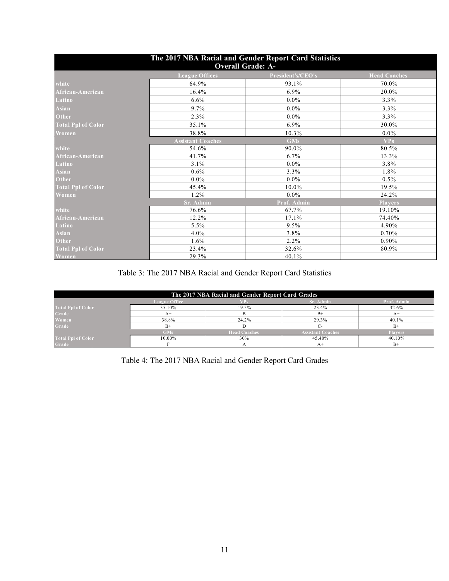| The 2017 NBA Racial and Gender Report Card Statistics<br><b>Overall Grade: A-</b> |                          |                   |                     |  |  |  |
|-----------------------------------------------------------------------------------|--------------------------|-------------------|---------------------|--|--|--|
|                                                                                   | <b>League Offices</b>    | President's/CEO's | <b>Head Coaches</b> |  |  |  |
| white                                                                             | 64.9%                    | 93.1%             | 70.0%               |  |  |  |
| African-American                                                                  | 16.4%                    | $6.9\%$           | 20.0%               |  |  |  |
| Latino                                                                            | 6.6%                     | $0.0\%$           | 3.3%                |  |  |  |
| <b>Asian</b>                                                                      | 9.7%                     | $0.0\%$           | 3.3%                |  |  |  |
| <b>Other</b>                                                                      | 2.3%                     | $0.0\%$           | 3.3%                |  |  |  |
| <b>Total Ppl of Color</b>                                                         | 35.1%                    | $6.9\%$           | 30.0%               |  |  |  |
| Women                                                                             | 38.8%                    | 10.3%             | $0.0\%$             |  |  |  |
|                                                                                   | <b>Assistant Coaches</b> | <b>GMs</b>        | <b>VPs</b>          |  |  |  |
| white                                                                             | 54.6%                    | 90.0%             | 80.5%               |  |  |  |
| African-American                                                                  | 41.7%                    | 6.7%              | 13.3%               |  |  |  |
| Latino                                                                            | 3.1%                     | $0.0\%$           | $3.8\%$             |  |  |  |
| <b>Asian</b>                                                                      | 0.6%                     | 3.3%              | 1.8%                |  |  |  |
| <b>Other</b>                                                                      | $0.0\%$                  | $0.0\%$           | $0.5\%$             |  |  |  |
| <b>Total Ppl of Color</b>                                                         | 45.4%                    | 10.0%             | 19.5%               |  |  |  |
| Women                                                                             | $1.2\%$                  | $0.0\%$           | 24.2%               |  |  |  |
|                                                                                   | <b>Sr. Admin</b>         | Prof. Admin       | <b>Players</b>      |  |  |  |
| white                                                                             | 76.6%                    | 67.7%             | 19.10%              |  |  |  |
| African-American                                                                  | 12.2%                    | 17.1%             | 74.40%              |  |  |  |
| Latino                                                                            | 5.5%                     | 9.5%              | 4.90%               |  |  |  |
| <b>Asian</b>                                                                      | 4.0%                     | 3.8%              | 0.70%               |  |  |  |
| <b>Other</b>                                                                      | 1.6%                     | 2.2%              | 0.90%               |  |  |  |
| <b>Total Ppl of Color</b>                                                         | 23.4%                    | 32.6%             | 80.9%               |  |  |  |
| Women                                                                             | 29.3%                    | 40.1%             |                     |  |  |  |

Table 3: The 2017 NBA Racial and Gender Report Card Statistics

| The 2017 NBA Racial and Gender Report Card Grades       |            |                     |                          |                |  |  |  |
|---------------------------------------------------------|------------|---------------------|--------------------------|----------------|--|--|--|
| Sr. Admin<br>Prof. Admin<br><b>League Office</b><br>VP. |            |                     |                          |                |  |  |  |
| <b>Total Ppl of Color</b>                               | 35.10%     | 19.5%               | 23.4%                    | 32.6%          |  |  |  |
| Grade                                                   | $A+$       |                     | $B+$                     |                |  |  |  |
| Women                                                   | 38.8%      | 24.2%               | 29.3%                    | 40.1%          |  |  |  |
| Grade                                                   | $B+$       |                     |                          | $B+$           |  |  |  |
|                                                         | <b>GMs</b> | <b>Head Coaches</b> | <b>Assistant Coaches</b> | <b>Players</b> |  |  |  |
| <b>Total Ppl of Color</b>                               | 10.00%     | 30%                 | 45.40%                   | 40.10%         |  |  |  |
| Grade                                                   |            |                     | $A+$                     | $R+$           |  |  |  |

Table 4: The 2017 NBA Racial and Gender Report Card Grades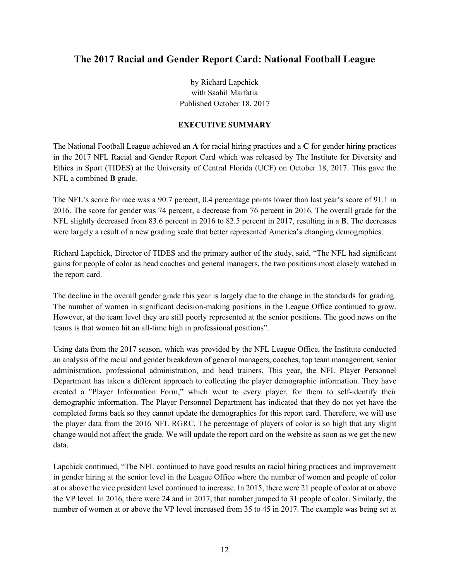## **The 2017 Racial and Gender Report Card: National Football League**

by Richard Lapchick with Saahil Marfatia Published October 18, 2017

#### **EXECUTIVE SUMMARY**

The National Football League achieved an **A** for racial hiring practices and a **C** for gender hiring practices in the 2017 NFL Racial and Gender Report Card which was released by The Institute for Diversity and Ethics in Sport (TIDES) at the University of Central Florida (UCF) on October 18, 2017. This gave the NFL a combined **B** grade.

The NFL's score for race was a 90.7 percent, 0.4 percentage points lower than last year's score of 91.1 in 2016. The score for gender was 74 percent, a decrease from 76 percent in 2016. The overall grade for the NFL slightly decreased from 83.6 percent in 2016 to 82.5 percent in 2017, resulting in a **B**. The decreases were largely a result of a new grading scale that better represented America's changing demographics.

Richard Lapchick, Director of TIDES and the primary author of the study, said, "The NFL had significant gains for people of color as head coaches and general managers, the two positions most closely watched in the report card.

The decline in the overall gender grade this year is largely due to the change in the standards for grading. The number of women in significant decision-making positions in the League Office continued to grow. However, at the team level they are still poorly represented at the senior positions. The good news on the teams is that women hit an all-time high in professional positions".

Using data from the 2017 season, which was provided by the NFL League Office, the Institute conducted an analysis of the racial and gender breakdown of general managers, coaches, top team management, senior administration, professional administration, and head trainers. This year, the NFL Player Personnel Department has taken a different approach to collecting the player demographic information. They have created a "Player Information Form," which went to every player, for them to self-identify their demographic information. The Player Personnel Department has indicated that they do not yet have the completed forms back so they cannot update the demographics for this report card. Therefore, we will use the player data from the 2016 NFL RGRC. The percentage of players of color is so high that any slight change would not affect the grade. We will update the report card on the website as soon as we get the new data.

Lapchick continued, "The NFL continued to have good results on racial hiring practices and improvement in gender hiring at the senior level in the League Office where the number of women and people of color at or above the vice president level continued to increase. In 2015, there were 21 people of color at or above the VP level. In 2016, there were 24 and in 2017, that number jumped to 31 people of color. Similarly, the number of women at or above the VP level increased from 35 to 45 in 2017. The example was being set at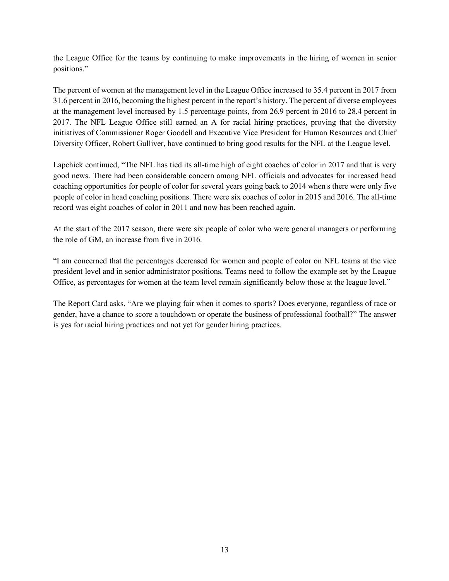the League Office for the teams by continuing to make improvements in the hiring of women in senior positions."

The percent of women at the management level in the League Office increased to 35.4 percent in 2017 from 31.6 percent in 2016, becoming the highest percent in the report's history. The percent of diverse employees at the management level increased by 1.5 percentage points, from 26.9 percent in 2016 to 28.4 percent in 2017. The NFL League Office still earned an A for racial hiring practices, proving that the diversity initiatives of Commissioner Roger Goodell and Executive Vice President for Human Resources and Chief Diversity Officer, Robert Gulliver, have continued to bring good results for the NFL at the League level.

Lapchick continued, "The NFL has tied its all-time high of eight coaches of color in 2017 and that is very good news. There had been considerable concern among NFL officials and advocates for increased head coaching opportunities for people of color for several years going back to 2014 when s there were only five people of color in head coaching positions. There were six coaches of color in 2015 and 2016. The all-time record was eight coaches of color in 2011 and now has been reached again.

At the start of the 2017 season, there were six people of color who were general managers or performing the role of GM, an increase from five in 2016.

"I am concerned that the percentages decreased for women and people of color on NFL teams at the vice president level and in senior administrator positions. Teams need to follow the example set by the League Office, as percentages for women at the team level remain significantly below those at the league level."

The Report Card asks, "Are we playing fair when it comes to sports? Does everyone, regardless of race or gender, have a chance to score a touchdown or operate the business of professional football?" The answer is yes for racial hiring practices and not yet for gender hiring practices.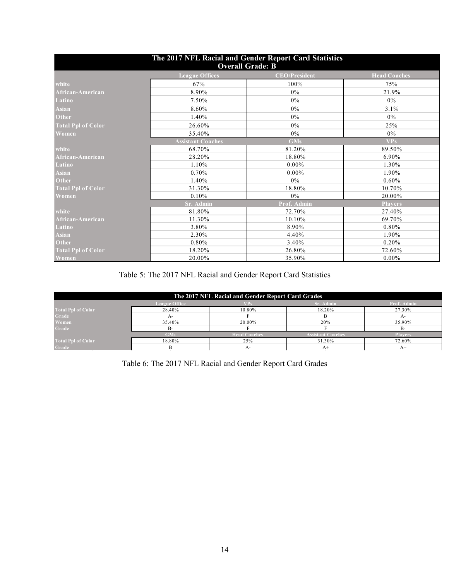| The 2017 NFL Racial and Gender Report Card Statistics |                          |                         |                     |  |  |
|-------------------------------------------------------|--------------------------|-------------------------|---------------------|--|--|
|                                                       |                          | <b>Overall Grade: B</b> |                     |  |  |
|                                                       | <b>League Offices</b>    | <b>CEO/President</b>    | <b>Head Coaches</b> |  |  |
| white                                                 | 67%                      | 100%                    | 75%                 |  |  |
| African-American                                      | 8.90%                    | $0\%$                   | 21.9%               |  |  |
| Latino                                                | 7.50%                    | 0%                      | 0%                  |  |  |
| <b>Asian</b>                                          | 8.60%                    | $0\%$                   | 3.1%                |  |  |
| Other                                                 | 1.40%                    | $0\%$                   | $0\%$               |  |  |
| <b>Total Ppl of Color</b>                             | 26.60%                   | $0\%$                   | 25%                 |  |  |
| Women                                                 | 35.40%                   | $0\%$                   | 0%                  |  |  |
|                                                       | <b>Assistant Coaches</b> | <b>GMs</b>              | VPs                 |  |  |
| white                                                 | 68.70%                   | 81.20%                  | 89.50%              |  |  |
| African-American                                      | 28.20%                   | 18.80%                  | 6.90%               |  |  |
| Latino                                                | 1.10%                    | $0.00\%$                | 1.30%               |  |  |
| <b>Asian</b>                                          | 0.70%                    | $0.00\%$                | 1.90%               |  |  |
| Other                                                 | 1.40%                    | $0\%$                   | $0.60\%$            |  |  |
| <b>Total Ppl of Color</b>                             | 31.30%                   | 18.80%                  | 10.70%              |  |  |
| Women                                                 | 0.10%                    | $0\%$                   | 20.00%              |  |  |
|                                                       | Sr. Admin                | Prof. Admin             | <b>Players</b>      |  |  |
| white                                                 | 81.80%                   | 72.70%                  | 27.40%              |  |  |
| African-American                                      | 11.30%                   | 10.10%                  | 69.70%              |  |  |
| Latino                                                | 3.80%                    | 8.90%                   | $0.80\%$            |  |  |
| <b>Asian</b>                                          | 2.30%                    | 4.40%                   | 1.90%               |  |  |
| Other                                                 | 0.80%                    | 3.40%                   | 0.20%               |  |  |
| <b>Total Ppl of Color</b>                             | 18.20%                   | 26.80%                  | 72.60%              |  |  |
| Women                                                 | 20.00%                   | 35.90%                  | $0.00\%$            |  |  |

Table 5: The 2017 NFL Racial and Gender Report Card Statistics

| The 2017 NFL Racial and Gender Report Card Grades       |                                                                                 |        |        |        |  |  |  |  |
|---------------------------------------------------------|---------------------------------------------------------------------------------|--------|--------|--------|--|--|--|--|
| <b>Sr. Admin</b><br>Prof. Admin<br><b>League Office</b> |                                                                                 |        |        |        |  |  |  |  |
| <b>Total Ppl of Color</b>                               | 28.40%                                                                          | 10.80% | 18.20% | 27.30% |  |  |  |  |
| Grade                                                   | $A-$                                                                            |        |        | A-     |  |  |  |  |
| Women                                                   | 35.40%                                                                          | 20.00% | 20%    | 35.90% |  |  |  |  |
| Grade                                                   | $B -$                                                                           |        |        |        |  |  |  |  |
|                                                         | <b>Assistant Coaches</b><br><b>Head Coaches</b><br><b>GMs</b><br><b>Players</b> |        |        |        |  |  |  |  |
| <b>Total Ppl</b> of Color                               | 18.80%                                                                          | 25%    | 31.30% | 72.60% |  |  |  |  |
| Grade                                                   |                                                                                 | A-     | A+     |        |  |  |  |  |

Table 6: The 2017 NFL Racial and Gender Report Card Grades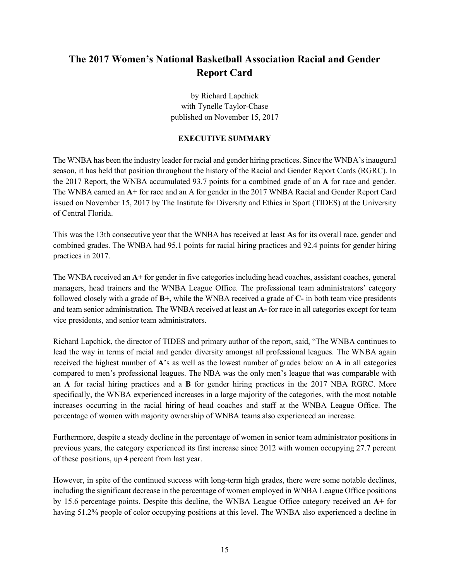## **The 2017 Women's National Basketball Association Racial and Gender Report Card**

by Richard Lapchick with Tynelle Taylor-Chase published on November 15, 2017

#### **EXECUTIVE SUMMARY**

The WNBA has been the industry leader for racial and gender hiring practices. Since the WNBA's inaugural season, it has held that position throughout the history of the Racial and Gender Report Cards (RGRC). In the 2017 Report, the WNBA accumulated 93.7 points for a combined grade of an **A** for race and gender. The WNBA earned an **A+** for race and an A for gender in the 2017 WNBA Racial and Gender Report Card issued on November 15, 2017 by The Institute for Diversity and Ethics in Sport (TIDES) at the University of Central Florida.

This was the 13th consecutive year that the WNBA has received at least **A**s for its overall race, gender and combined grades. The WNBA had 95.1 points for racial hiring practices and 92.4 points for gender hiring practices in 2017.

The WNBA received an **A+** for gender in five categories including head coaches, assistant coaches, general managers, head trainers and the WNBA League Office. The professional team administrators' category followed closely with a grade of **B+**, while the WNBA received a grade of **C-** in both team vice presidents and team senior administration. The WNBA received at least an **A-** for race in all categories except for team vice presidents, and senior team administrators.

Richard Lapchick, the director of TIDES and primary author of the report, said, "The WNBA continues to lead the way in terms of racial and gender diversity amongst all professional leagues. The WNBA again received the highest number of **A**'s as well as the lowest number of grades below an **A** in all categories compared to men's professional leagues. The NBA was the only men's league that was comparable with an **A** for racial hiring practices and a **B** for gender hiring practices in the 2017 NBA RGRC. More specifically, the WNBA experienced increases in a large majority of the categories, with the most notable increases occurring in the racial hiring of head coaches and staff at the WNBA League Office. The percentage of women with majority ownership of WNBA teams also experienced an increase.

Furthermore, despite a steady decline in the percentage of women in senior team administrator positions in previous years, the category experienced its first increase since 2012 with women occupying 27.7 percent of these positions, up 4 percent from last year.

However, in spite of the continued success with long-term high grades, there were some notable declines, including the significant decrease in the percentage of women employed in WNBA League Office positions by 15.6 percentage points. Despite this decline, the WNBA League Office category received an **A+** for having 51.2% people of color occupying positions at this level. The WNBA also experienced a decline in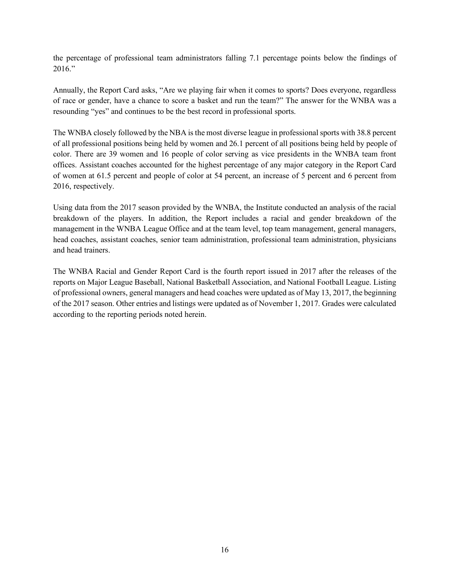the percentage of professional team administrators falling 7.1 percentage points below the findings of 2016."

Annually, the Report Card asks, "Are we playing fair when it comes to sports? Does everyone, regardless of race or gender, have a chance to score a basket and run the team?" The answer for the WNBA was a resounding "yes" and continues to be the best record in professional sports.

The WNBA closely followed by the NBA is the most diverse league in professional sports with 38.8 percent of all professional positions being held by women and 26.1 percent of all positions being held by people of color. There are 39 women and 16 people of color serving as vice presidents in the WNBA team front offices. Assistant coaches accounted for the highest percentage of any major category in the Report Card of women at 61.5 percent and people of color at 54 percent, an increase of 5 percent and 6 percent from 2016, respectively.

Using data from the 2017 season provided by the WNBA, the Institute conducted an analysis of the racial breakdown of the players. In addition, the Report includes a racial and gender breakdown of the management in the WNBA League Office and at the team level, top team management, general managers, head coaches, assistant coaches, senior team administration, professional team administration, physicians and head trainers.

The WNBA Racial and Gender Report Card is the fourth report issued in 2017 after the releases of the reports on Major League Baseball, National Basketball Association, and National Football League. Listing of professional owners, general managers and head coaches were updated as of May 13, 2017, the beginning of the 2017 season. Other entries and listings were updated as of November 1, 2017. Grades were calculated according to the reporting periods noted herein.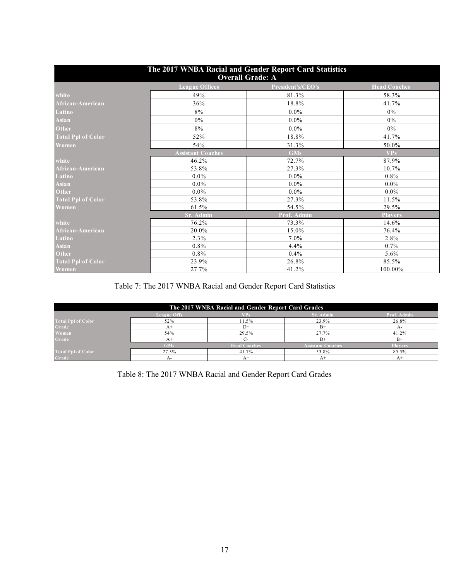| The 2017 WNBA Racial and Gender Report Card Statistics<br><b>Overall Grade: A</b> |                          |                   |                     |  |  |
|-----------------------------------------------------------------------------------|--------------------------|-------------------|---------------------|--|--|
|                                                                                   | <b>League Offices</b>    | President's/CEO's | <b>Head Coaches</b> |  |  |
| white                                                                             | 49%                      | 81.3%             | 58.3%               |  |  |
| African-American                                                                  | 36%                      | 18.8%             | 41.7%               |  |  |
| Latino                                                                            | 8%                       | $0.0\%$           | 0%                  |  |  |
| Asian                                                                             | $0\%$                    | $0.0\%$           | $0\%$               |  |  |
| Other                                                                             | 8%                       | $0.0\%$           | 0%                  |  |  |
| <b>Total Ppl of Color</b>                                                         | 52%                      | 18.8%             | 41.7%               |  |  |
| Women,                                                                            | 54%                      | 31.3%             | 50.0%               |  |  |
|                                                                                   | <b>Assistant Coaches</b> | <b>GMs</b>        | <b>VPs</b>          |  |  |
| white                                                                             | 46.2%                    | 72.7%             | 87.9%               |  |  |
| African-American                                                                  | 53.8%                    | 27.3%             | 10.7%               |  |  |
| Latino                                                                            | $0.0\%$                  | $0.0\%$           | $0.8\%$             |  |  |
| Asian                                                                             | $0.0\%$                  | $0.0\%$           | $0.0\%$             |  |  |
| Other                                                                             | $0.0\%$                  | $0.0\%$           | $0.0\%$             |  |  |
| <b>Total Ppl of Color</b>                                                         | 53.8%                    | 27.3%             | 11.5%               |  |  |
| Women                                                                             | 61.5%                    | 54.5%             | 29.5%               |  |  |
|                                                                                   | <b>Sr. Admin</b>         | Prof. Admin       | <b>Players</b>      |  |  |
| white                                                                             | 76.2%                    | 73.3%             | 14.6%               |  |  |
| African-American                                                                  | 20.0%                    | 15.0%             | 76.4%               |  |  |
| Latino                                                                            | 2.3%                     | $7.0\%$           | 2.8%                |  |  |
| $\overline{A}$ sian                                                               | $0.8\%$                  | 4.4%              | 0.7%                |  |  |
| Other                                                                             | $0.8\%$                  | 0.4%              | 5.6%                |  |  |
| <b>Total Ppl of Color</b>                                                         | 23.9%                    | 26.8%             | 85.5%               |  |  |
| Women                                                                             | 27.7%                    | 41.2%             | 100.00%             |  |  |

Table 7: The 2017 WNBA Racial and Gender Report Card Statistics

| The 2017 WNBA Racial and Gender Report Card Grades           |                                                                          |       |       |             |  |  |  |  |
|--------------------------------------------------------------|--------------------------------------------------------------------------|-------|-------|-------------|--|--|--|--|
| Prof. Admin<br><b>Sr. Admin</b><br><b>League Offs</b><br>VPs |                                                                          |       |       |             |  |  |  |  |
| <b>Total Ppl of Color</b>                                    | 52%                                                                      | 11.5% | 23.9% | 26.8%       |  |  |  |  |
| Grade                                                        | $A+$                                                                     | $D+$  | $B+$  | А-          |  |  |  |  |
| Women                                                        | 54%                                                                      | 29.5% | 27.7% | 41.2%       |  |  |  |  |
| Grade                                                        | $A+$                                                                     |       | $D+$  | $_{\rm B+}$ |  |  |  |  |
|                                                              | <b>Assistant Coaches</b><br><b>Head Coaches</b><br>GMs<br><b>Players</b> |       |       |             |  |  |  |  |
| <b>Total Ppl of Color</b>                                    | 27.3%                                                                    | 41.7% | 53.8% | 85.5%       |  |  |  |  |
| Grade                                                        | A-                                                                       |       | $A^+$ |             |  |  |  |  |

Table 8: The 2017 WNBA Racial and Gender Report Card Grades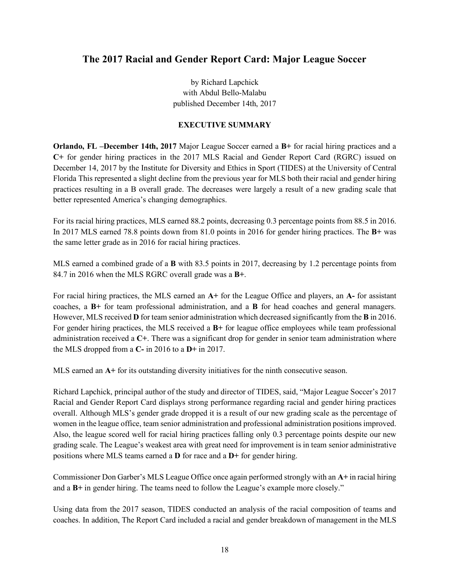## **The 2017 Racial and Gender Report Card: Major League Soccer**

by Richard Lapchick with Abdul Bello-Malabu published December 14th, 2017

#### **EXECUTIVE SUMMARY**

**Orlando, FL –December 14th, 2017** Major League Soccer earned a **B+** for racial hiring practices and a **C+** for gender hiring practices in the 2017 MLS Racial and Gender Report Card (RGRC) issued on December 14, 2017 by the Institute for Diversity and Ethics in Sport (TIDES) at the University of Central Florida This represented a slight decline from the previous year for MLS both their racial and gender hiring practices resulting in a B overall grade. The decreases were largely a result of a new grading scale that better represented America's changing demographics.

For its racial hiring practices, MLS earned 88.2 points, decreasing 0.3 percentage points from 88.5 in 2016. In 2017 MLS earned 78.8 points down from 81.0 points in 2016 for gender hiring practices. The **B+** was the same letter grade as in 2016 for racial hiring practices.

MLS earned a combined grade of a **B** with 83.5 points in 2017, decreasing by 1.2 percentage points from 84.7 in 2016 when the MLS RGRC overall grade was a **B+**.

For racial hiring practices, the MLS earned an **A+** for the League Office and players, an **A-** for assistant coaches, a **B+** for team professional administration, and a **B** for head coaches and general managers. However, MLS received **D** for team senior administration which decreased significantly from the **B** in 2016. For gender hiring practices, the MLS received a **B+** for league office employees while team professional administration received a **C+**. There was a significant drop for gender in senior team administration where the MLS dropped from a **C-** in 2016 to a **D+** in 2017.

MLS earned an **A+** for its outstanding diversity initiatives for the ninth consecutive season.

Richard Lapchick, principal author of the study and director of TIDES, said, "Major League Soccer's 2017 Racial and Gender Report Card displays strong performance regarding racial and gender hiring practices overall. Although MLS's gender grade dropped it is a result of our new grading scale as the percentage of women in the league office, team senior administration and professional administration positions improved. Also, the league scored well for racial hiring practices falling only 0.3 percentage points despite our new grading scale. The League's weakest area with great need for improvement is in team senior administrative positions where MLS teams earned a **D** for race and a **D+** for gender hiring.

Commissioner Don Garber's MLS League Office once again performed strongly with an **A+** in racial hiring and a **B+** in gender hiring. The teams need to follow the League's example more closely."

Using data from the 2017 season, TIDES conducted an analysis of the racial composition of teams and coaches. In addition, The Report Card included a racial and gender breakdown of management in the MLS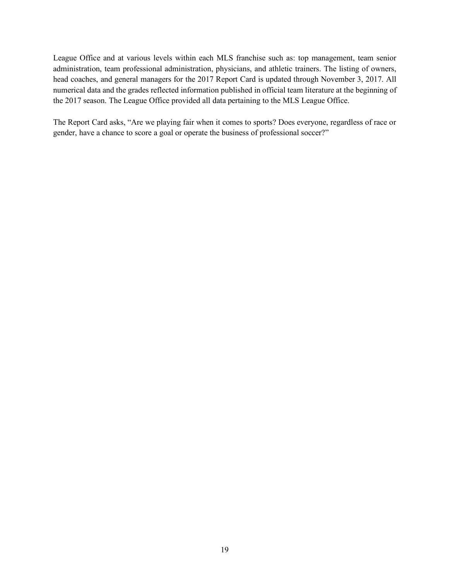League Office and at various levels within each MLS franchise such as: top management, team senior administration, team professional administration, physicians, and athletic trainers. The listing of owners, head coaches, and general managers for the 2017 Report Card is updated through November 3, 2017. All numerical data and the grades reflected information published in official team literature at the beginning of the 2017 season. The League Office provided all data pertaining to the MLS League Office.

The Report Card asks, "Are we playing fair when it comes to sports? Does everyone, regardless of race or gender, have a chance to score a goal or operate the business of professional soccer?"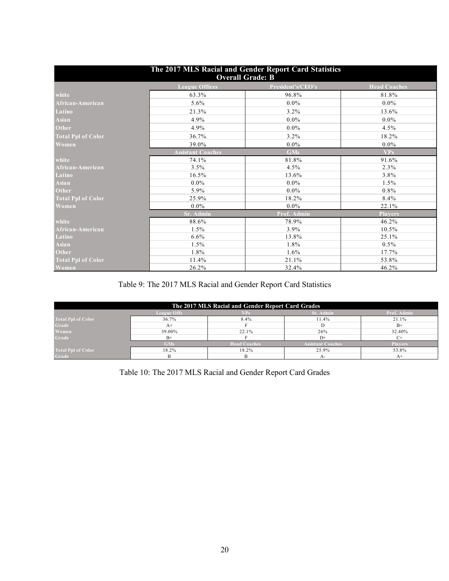| The 2017 MLS Racial and Gender Report Card Statistics<br><b>Overall Grade: B</b> |                          |                   |                     |  |  |  |
|----------------------------------------------------------------------------------|--------------------------|-------------------|---------------------|--|--|--|
|                                                                                  | <b>League Offices</b>    | President's/CEO's | <b>Head Coaches</b> |  |  |  |
| white                                                                            | 63.3%                    | 96.8%             | 81.8%               |  |  |  |
| African-American                                                                 | $5.6\%$                  | $0.0\%$           | $0.0\%$             |  |  |  |
| Latino                                                                           | 21.3%                    | $3.2\%$           | 13.6%               |  |  |  |
| <b>Asian</b>                                                                     | 4.9%                     | $0.0\%$           | $0.0\%$             |  |  |  |
| <b>Other</b>                                                                     | 4.9%                     | $0.0\%$           | 4.5%                |  |  |  |
| <b>Total Ppl of Color</b>                                                        | 36.7%                    | $3.2\%$           | 18.2%               |  |  |  |
| Women                                                                            | 39.0%                    | $0.0\%$           | $0.0\%$             |  |  |  |
|                                                                                  | <b>Assistant Coaches</b> | <b>GMs</b>        | <b>VPs</b>          |  |  |  |
| white                                                                            | 74.1%                    | 81.8%             | 91.6%               |  |  |  |
| African-American                                                                 | 3.5%                     | 4.5%              | 2.3%                |  |  |  |
| Latino                                                                           | 16.5%                    | 13.6%             | 3.8%                |  |  |  |
| <b>Asian</b>                                                                     | $0.0\%$                  | $0.0\%$           | 1.5%                |  |  |  |
| <b>Other</b>                                                                     | 5.9%                     | $0.0\%$           | $0.8\%$             |  |  |  |
| <b>Total Ppl of Color</b>                                                        | 25.9%                    | 18.2%             | 8.4%                |  |  |  |
| Women                                                                            | $0.0\%$                  | $0.0\%$           | 22.1%               |  |  |  |
|                                                                                  | Sr. Admin                | Prof. Admin       | <b>Players</b>      |  |  |  |
| white                                                                            | 88.6%                    | 78.9%             | 46.2%               |  |  |  |
| African-American                                                                 | 1.5%                     | $3.9\%$           | 10.5%               |  |  |  |
| Latino                                                                           | $6.6\%$                  | 13.8%             | 25.1%               |  |  |  |
| Asian                                                                            | 1.5%                     | 1.8%              | $0.5\%$             |  |  |  |
| Other                                                                            | 1.8%                     | $1.6\%$           | 17.7%               |  |  |  |
| <b>Total Ppl of Color</b>                                                        | 11.4%                    | 21.1%             | 53.8%               |  |  |  |
| Women                                                                            | 26.2%                    | 32.4%             | 46.2%               |  |  |  |

Table 9: The 2017 MLS Racial and Gender Report Card Statistics

| The 2017 MLS Racial and Gender Report Card Grades |                                                              |                     |                          |                |  |  |  |  |  |
|---------------------------------------------------|--------------------------------------------------------------|---------------------|--------------------------|----------------|--|--|--|--|--|
|                                                   | Sr. Admin<br>Prof. Admin<br><b>League Offs</b><br><b>VPs</b> |                     |                          |                |  |  |  |  |  |
| <b>Total Ppl of Color</b>                         | 36.7%                                                        | 8.4%                | 11.4%                    | 21.1%          |  |  |  |  |  |
| Grade                                             | $A+$                                                         |                     |                          | $B+$           |  |  |  |  |  |
| <b>Women</b>                                      | 39.00%                                                       | 22.1%               | 26%                      | 32.40%         |  |  |  |  |  |
| Grade                                             | $B+$                                                         |                     | $D+$                     |                |  |  |  |  |  |
|                                                   | <b>GMs</b>                                                   | <b>Head Coaches</b> | <b>Assistant Coaches</b> | <b>Players</b> |  |  |  |  |  |
| <b>Total Ppl</b> of Color                         | 18.2%                                                        | 18.2%               | 25.9%                    | 53.8%          |  |  |  |  |  |
| Grade                                             |                                                              |                     |                          |                |  |  |  |  |  |

Table 10: The 2017 MLS Racial and Gender Report Card Grades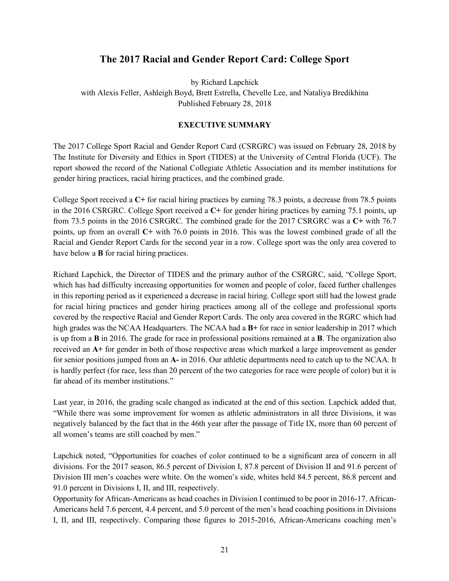## **The 2017 Racial and Gender Report Card: College Sport**

by Richard Lapchick with Alexis Feller, Ashleigh Boyd, Brett Estrella, Chevelle Lee, and Nataliya Bredikhina Published February 28, 2018

#### **EXECUTIVE SUMMARY**

The 2017 College Sport Racial and Gender Report Card (CSRGRC) was issued on February 28, 2018 by The Institute for Diversity and Ethics in Sport (TIDES) at the University of Central Florida (UCF). The report showed the record of the National Collegiate Athletic Association and its member institutions for gender hiring practices, racial hiring practices, and the combined grade.

College Sport received a **C+** for racial hiring practices by earning 78.3 points, a decrease from 78.5 points in the 2016 CSRGRC. College Sport received a **C+** for gender hiring practices by earning 75.1 points, up from 73.5 points in the 2016 CSRGRC. The combined grade for the 2017 CSRGRC was a **C+** with 76.7 points, up from an overall **C+** with 76.0 points in 2016. This was the lowest combined grade of all the Racial and Gender Report Cards for the second year in a row. College sport was the only area covered to have below a **B** for racial hiring practices.

Richard Lapchick, the Director of TIDES and the primary author of the CSRGRC, said, "College Sport, which has had difficulty increasing opportunities for women and people of color, faced further challenges in this reporting period as it experienced a decrease in racial hiring. College sport still had the lowest grade for racial hiring practices and gender hiring practices among all of the college and professional sports covered by the respective Racial and Gender Report Cards. The only area covered in the RGRC which had high grades was the NCAA Headquarters. The NCAA had a **B+** for race in senior leadership in 2017 which is up from a **B** in 2016. The grade for race in professional positions remained at a **B**. The organization also received an **A+** for gender in both of those respective areas which marked a large improvement as gender for senior positions jumped from an **A-** in 2016. Our athletic departments need to catch up to the NCAA. It is hardly perfect (for race, less than 20 percent of the two categories for race were people of color) but it is far ahead of its member institutions."

Last year, in 2016, the grading scale changed as indicated at the end of this section. Lapchick added that, "While there was some improvement for women as athletic administrators in all three Divisions, it was negatively balanced by the fact that in the 46th year after the passage of Title IX, more than 60 percent of all women's teams are still coached by men."

Lapchick noted, "Opportunities for coaches of color continued to be a significant area of concern in all divisions. For the 2017 season, 86.5 percent of Division I, 87.8 percent of Division II and 91.6 percent of Division III men's coaches were white. On the women's side, whites held 84.5 percent, 86.8 percent and 91.0 percent in Divisions I, II, and III, respectively.

Opportunity for African-Americans as head coaches in Division I continued to be poor in 2016-17. African-Americans held 7.6 percent, 4.4 percent, and 5.0 percent of the men's head coaching positions in Divisions I, II, and III, respectively. Comparing those figures to 2015-2016, African-Americans coaching men's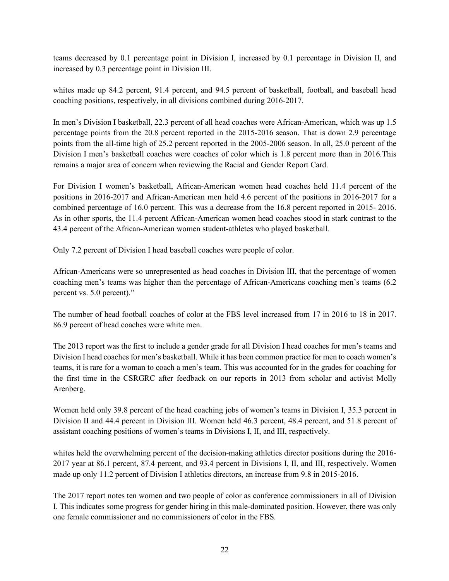teams decreased by 0.1 percentage point in Division I, increased by 0.1 percentage in Division II, and increased by 0.3 percentage point in Division III.

whites made up 84.2 percent, 91.4 percent, and 94.5 percent of basketball, football, and baseball head coaching positions, respectively, in all divisions combined during 2016-2017.

In men's Division I basketball, 22.3 percent of all head coaches were African-American, which was up 1.5 percentage points from the 20.8 percent reported in the 2015-2016 season. That is down 2.9 percentage points from the all-time high of 25.2 percent reported in the 2005-2006 season. In all, 25.0 percent of the Division I men's basketball coaches were coaches of color which is 1.8 percent more than in 2016.This remains a major area of concern when reviewing the Racial and Gender Report Card.

For Division I women's basketball, African-American women head coaches held 11.4 percent of the positions in 2016-2017 and African-American men held 4.6 percent of the positions in 2016-2017 for a combined percentage of 16.0 percent. This was a decrease from the 16.8 percent reported in 2015- 2016. As in other sports, the 11.4 percent African-American women head coaches stood in stark contrast to the 43.4 percent of the African-American women student-athletes who played basketball.

Only 7.2 percent of Division I head baseball coaches were people of color.

African-Americans were so unrepresented as head coaches in Division III, that the percentage of women coaching men's teams was higher than the percentage of African-Americans coaching men's teams (6.2 percent vs. 5.0 percent)."

The number of head football coaches of color at the FBS level increased from 17 in 2016 to 18 in 2017. 86.9 percent of head coaches were white men.

The 2013 report was the first to include a gender grade for all Division I head coaches for men's teams and Division I head coaches for men's basketball. While it has been common practice for men to coach women's teams, it is rare for a woman to coach a men's team. This was accounted for in the grades for coaching for the first time in the CSRGRC after feedback on our reports in 2013 from scholar and activist Molly Arenberg.

Women held only 39.8 percent of the head coaching jobs of women's teams in Division I, 35.3 percent in Division II and 44.4 percent in Division III. Women held 46.3 percent, 48.4 percent, and 51.8 percent of assistant coaching positions of women's teams in Divisions I, II, and III, respectively.

whites held the overwhelming percent of the decision-making athletics director positions during the 2016- 2017 year at 86.1 percent, 87.4 percent, and 93.4 percent in Divisions I, II, and III, respectively. Women made up only 11.2 percent of Division I athletics directors, an increase from 9.8 in 2015-2016.

The 2017 report notes ten women and two people of color as conference commissioners in all of Division I. This indicates some progress for gender hiring in this male-dominated position. However, there was only one female commissioner and no commissioners of color in the FBS.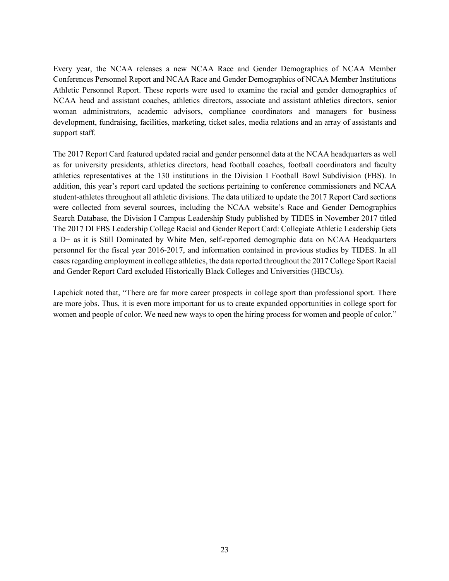Every year, the NCAA releases a new NCAA Race and Gender Demographics of NCAA Member Conferences Personnel Report and NCAA Race and Gender Demographics of NCAA Member Institutions Athletic Personnel Report. These reports were used to examine the racial and gender demographics of NCAA head and assistant coaches, athletics directors, associate and assistant athletics directors, senior woman administrators, academic advisors, compliance coordinators and managers for business development, fundraising, facilities, marketing, ticket sales, media relations and an array of assistants and support staff.

The 2017 Report Card featured updated racial and gender personnel data at the NCAA headquarters as well as for university presidents, athletics directors, head football coaches, football coordinators and faculty athletics representatives at the 130 institutions in the Division I Football Bowl Subdivision (FBS). In addition, this year's report card updated the sections pertaining to conference commissioners and NCAA student-athletes throughout all athletic divisions. The data utilized to update the 2017 Report Card sections were collected from several sources, including the NCAA website's Race and Gender Demographics Search Database, the Division I Campus Leadership Study published by TIDES in November 2017 titled The 2017 DI FBS Leadership College Racial and Gender Report Card: Collegiate Athletic Leadership Gets a D+ as it is Still Dominated by White Men, self-reported demographic data on NCAA Headquarters personnel for the fiscal year 2016-2017, and information contained in previous studies by TIDES. In all cases regarding employment in college athletics, the data reported throughout the 2017 College Sport Racial and Gender Report Card excluded Historically Black Colleges and Universities (HBCUs).

Lapchick noted that, "There are far more career prospects in college sport than professional sport. There are more jobs. Thus, it is even more important for us to create expanded opportunities in college sport for women and people of color. We need new ways to open the hiring process for women and people of color."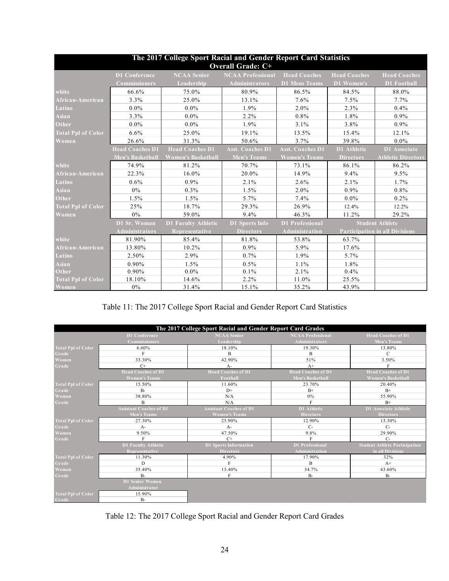| The 2017 College Sport Racial and Gender Report Card Statistics<br><b>Overall Grade: C+</b> |                         |                            |                          |                         |                     |                                       |
|---------------------------------------------------------------------------------------------|-------------------------|----------------------------|--------------------------|-------------------------|---------------------|---------------------------------------|
|                                                                                             | <b>D1 Conference</b>    | <b>NCAA Senior</b>         | <b>NCAA Professional</b> | <b>Head Coaches</b>     | <b>Head Coaches</b> | <b>Head Coaches</b>                   |
|                                                                                             | <b>Commissioners</b>    | Leadership                 | <b>Administrators</b>    | <b>D1 Mens Teams</b>    | D1 Women's          | <b>D1</b> Football                    |
| white                                                                                       | 66.6%                   | 75.0%                      | 80.9%                    | 86.5%                   | 84.5%               | 88.0%                                 |
| African-American                                                                            | 3.3%                    | 25.0%                      | 13.1%                    | 7.6%                    | 7.5%                | 7.7%                                  |
| Latino                                                                                      | $0.0\%$                 | $0.0\%$                    | 1.9%                     | $2.0\%$                 | 2.3%                | 0.4%                                  |
| <b>Asian</b>                                                                                | 3.3%                    | $0.0\%$                    | 2.2%                     | $0.8\%$                 | 1.8%                | $0.9\%$                               |
| Other                                                                                       | 0.0%                    | $0.0\%$                    | 1.9%                     | 3.1%                    | 3.8%                | 0.9%                                  |
| <b>Total Ppl of Color</b>                                                                   | 6.6%                    | 25.0%                      | 19.1%                    | 13.5%                   | 15.4%               | 12.1%                                 |
| Women                                                                                       | 26.6%                   | 31.3%                      | 50.6%                    | 3.7%                    | 39.8%               | $0.0\%$                               |
|                                                                                             | <b>Head Coaches D1</b>  | <b>Head Coaches D1</b>     | <b>Asst. Coaches D1</b>  | <b>Asst. Coaches D1</b> | <b>D1</b> Athletic  | D1 Associate                          |
|                                                                                             | <b>Men's Basketball</b> | <b>Women's Basketball</b>  | <b>Men's Teams</b>       | <b>Women's Teams</b>    | <b>Directors</b>    | <b>Athletic Directors</b>             |
| white                                                                                       | 74.9%                   | 81.2%                      | 70.7%                    | 73.1%                   | 86.1%               | 86.2%                                 |
| African-American                                                                            | 22.3%                   | 16.0%                      | 20.0%                    | 14.9%                   | 9.4%                | 9.5%                                  |
| Latino                                                                                      | 0.6%                    | $0.9\%$                    | 2.1%                     | 2.6%                    | 2.1%                | 1.7%                                  |
| Asian                                                                                       | 0%                      | 0.3%                       | 1.5%                     | 2.0%                    | 0.9%                | 0.8%                                  |
| Other                                                                                       | 1.5%                    | 1.5%                       | 5.7%                     | 7.4%                    | $0.0\%$             | $0.2\%$                               |
| <b>Total Ppl of Color</b>                                                                   | 25%                     | 18.7%                      | 29.3%                    | 26.9%                   | 12.4%               | 12.2%                                 |
| Women                                                                                       | $0\%$                   | 59.0%                      | 9.4%                     | 46.3%                   | 11.2%               | 29.2%                                 |
|                                                                                             | D1 Sr. Woman            | <b>D1 Faculty Athletic</b> | <b>D1 Sports Info</b>    | <b>D1</b> Professional  |                     | <b>Student Athlete</b>                |
|                                                                                             | <b>Administrators</b>   | <b>Representative</b>      | <b>Directors</b>         | Administration          |                     | <b>Participation in all Divisions</b> |
| white                                                                                       | 81.90%                  | 85.4%                      | 81.8%                    | 53.8%                   | 63.7%               |                                       |
| African-American                                                                            | 13.80%                  | 10.2%                      | 0.9%                     | 5.9%                    | 17.6%               |                                       |
| Latino                                                                                      | 2.50%                   | 2.9%                       | 0.7%                     | 1.9%                    | 5.7%                |                                       |
| Asian                                                                                       | 0.90%                   | 1.5%                       | 0.5%                     | 1.1%                    | 1.8%                |                                       |
| Other                                                                                       | 0.90%                   | $0.0\%$                    | 0.1%                     | 2.1%                    | 0.4%                |                                       |
| <b>Total Ppl of Color</b>                                                                   | 18.10%                  | 14.6%                      | 2.2%                     | 11.0%                   | 25.5%               |                                       |
| Women                                                                                       | $0\%$                   | 31.4%                      | 15.1%                    | 35.2%                   | 43.9%               |                                       |

## Table 11: The 2017 College Sport Racial and Gender Report Card Statistics

| The 2017 College Sport Racial and Gender Report Card Grades |                                |                                |                           |                                      |
|-------------------------------------------------------------|--------------------------------|--------------------------------|---------------------------|--------------------------------------|
|                                                             | <b>D1 Conference</b>           | <b>NCAA Senior</b>             | <b>NCAA Professional</b>  | <b>Head Coaches of D1</b>            |
|                                                             | Commissioners                  | Leadership                     | <b>Administrators</b>     |                                      |
|                                                             |                                |                                |                           | <b>Men's Teams</b>                   |
| <b>Total Ppl of Color</b>                                   | $6.60\%$                       | 18.10%                         | 19.30%                    | 13.80%                               |
| Grade                                                       | F                              | B                              | B                         | $\mathcal{C}$                        |
| Women                                                       | 33.30%                         | 42.90%                         | 51%                       | 3.50%                                |
| Grade                                                       | $C+$                           | $A-$                           | $A+$                      | F                                    |
|                                                             | <b>Head Coaches of D1</b>      | <b>Head Coaches of D1</b>      | <b>Head Coaches of D1</b> | <b>Head Coaches of D1</b>            |
|                                                             | <b>Women's Teams</b>           | Football                       | <b>Men's Basketball</b>   | <b>Women's Basketball</b>            |
| <b>Total Ppl of Color</b>                                   | 15.50%                         | 11.60%                         | 23.70%                    | 20.40%                               |
| Grade                                                       | $B-$                           | $D+$                           | $B+$                      | $B+$                                 |
| Women                                                       | 38.80%                         | N/A                            | 0%                        | 55.90%                               |
| Grade                                                       | B                              | N/A                            | F                         | $B+$                                 |
|                                                             | <b>Assistant Coaches of D1</b> | <b>Assistant Coaches of D1</b> | D1 Athletic               | D1 Associate Athletic                |
|                                                             | <b>Men's Teams</b>             | <b>Women's Teams</b>           | <b>Directors</b>          | <b>Directors</b>                     |
| <b>Total Ppl of Color</b>                                   | 27.30%                         | 25.90%                         | 12.90%                    | 13.30%                               |
| Grade                                                       | $A-$                           | $A -$                          | $C_{\tau}$                | $C_{\tau}$                           |
| Women                                                       | 9.50%                          | 47.50%                         | 9.8%                      | 29.90%                               |
| Grade                                                       | F                              | $C+$                           | F                         | $C-$                                 |
|                                                             | <b>D1 Faculty Athletic</b>     | <b>D1</b> Sports Information   | <b>D1 Professional</b>    | <b>Student Athlete Participation</b> |
|                                                             | Representative                 | <b>Directors</b>               | <b>Administration</b>     | in all Divisions                     |
| <b>Total Ppl of Color</b>                                   | 11.30%                         | 4.90%                          | 17.90%                    | 32%                                  |
| Grade                                                       | D                              | F                              | B                         | $A+$                                 |
| Women                                                       | 35.40%                         | 13.40%                         | 34.7%                     | 43.60%                               |
| Grade                                                       | $B -$                          | F                              | <b>B-</b>                 | $B-$                                 |
|                                                             | <b>D1 Senior Women</b>         |                                |                           |                                      |
|                                                             | Administrator                  |                                |                           |                                      |
| <b>Total Ppl of Color</b>                                   | 15.90%                         |                                |                           |                                      |
| Grade                                                       | $B-$                           |                                |                           |                                      |

Table 12: The 2017 College Sport Racial and Gender Report Card Grades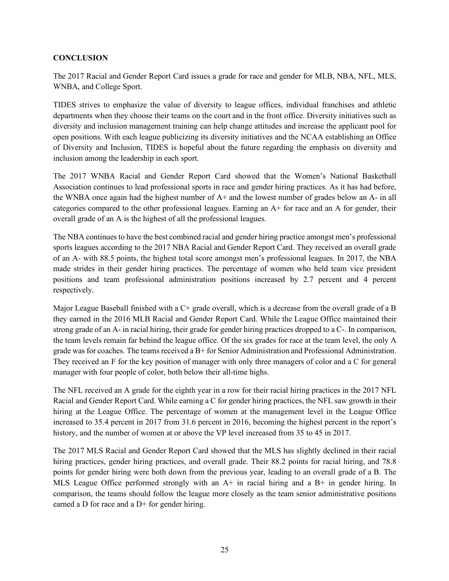#### **CONCLUSION**

The 2017 Racial and Gender Report Card issues a grade for race and gender for MLB, NBA, NFL, MLS, WNBA, and College Sport.

TIDES strives to emphasize the value of diversity to league offices, individual franchises and athletic departments when they choose their teams on the court and in the front office. Diversity initiatives such as diversity and inclusion management training can help change attitudes and increase the applicant pool for open positions. With each league publicizing its diversity initiatives and the NCAA establishing an Office of Diversity and Inclusion, TIDES is hopeful about the future regarding the emphasis on diversity and inclusion among the leadership in each sport.

The 2017 WNBA Racial and Gender Report Card showed that the Women's National Basketball Association continues to lead professional sports in race and gender hiring practices. As it has had before, the WNBA once again had the highest number of A+ and the lowest number of grades below an A- in all categories compared to the other professional leagues. Earning an A+ for race and an A for gender, their overall grade of an A is the highest of all the professional leagues.

The NBA continues to have the best combined racial and gender hiring practice amongst men's professional sports leagues according to the 2017 NBA Racial and Gender Report Card. They received an overall grade of an A- with 88.5 points, the highest total score amongst men's professional leagues. In 2017, the NBA made strides in their gender hiring practices. The percentage of women who held team vice president positions and team professional administration positions increased by 2.7 percent and 4 percent respectively.

Major League Baseball finished with a C+ grade overall, which is a decrease from the overall grade of a B they earned in the 2016 MLB Racial and Gender Report Card. While the League Office maintained their strong grade of an A- in racial hiring, their grade for gender hiring practices dropped to a C-. In comparison, the team levels remain far behind the league office. Of the six grades for race at the team level, the only A grade was for coaches. The teams received a B+ for Senior Administration and Professional Administration. They received an F for the key position of manager with only three managers of color and a C for general manager with four people of color, both below their all-time highs.

The NFL received an A grade for the eighth year in a row for their racial hiring practices in the 2017 NFL Racial and Gender Report Card. While earning a C for gender hiring practices, the NFL saw growth in their hiring at the League Office. The percentage of women at the management level in the League Office increased to 35.4 percent in 2017 from 31.6 percent in 2016, becoming the highest percent in the report's history, and the number of women at or above the VP level increased from 35 to 45 in 2017.

The 2017 MLS Racial and Gender Report Card showed that the MLS has slightly declined in their racial hiring practices, gender hiring practices, and overall grade. Their 88.2 points for racial hiring, and 78.8 points for gender hiring were both down from the previous year, leading to an overall grade of a B. The MLS League Office performed strongly with an A+ in racial hiring and a B+ in gender hiring. In comparison, the teams should follow the league more closely as the team senior administrative positions earned a D for race and a D+ for gender hiring.